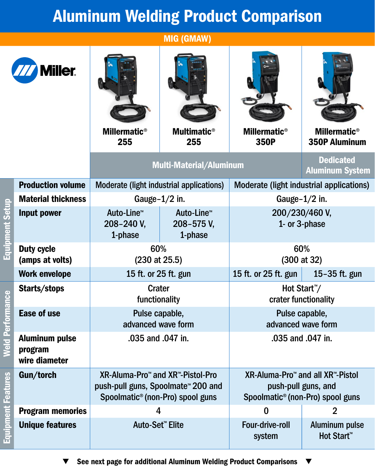## Aluminum Welding Product Comparison

MIG (GMAW)

| <b>Miller</b>             |                                                   | <b>Millermatic<sup>®</sup></b><br>255                                                                                                          | <b>Multimatic<sup>®</sup></b><br>255            | <b>Millermatic<sup>®</sup></b><br>350P                                                                              | <b>Millermatic<sup>®</sup></b><br><b>350P Aluminum</b> |
|---------------------------|---------------------------------------------------|------------------------------------------------------------------------------------------------------------------------------------------------|-------------------------------------------------|---------------------------------------------------------------------------------------------------------------------|--------------------------------------------------------|
|                           |                                                   | <b>Multi-Material/Aluminum</b>                                                                                                                 |                                                 | <b>Dedicated</b><br><b>Aluminum System</b>                                                                          |                                                        |
|                           | <b>Production volume</b>                          | Moderate (light industrial applications)                                                                                                       |                                                 | Moderate (light industrial applications)                                                                            |                                                        |
|                           | <b>Material thickness</b>                         | Gauge- $1/2$ in.                                                                                                                               |                                                 | Gauge- $1/2$ in.                                                                                                    |                                                        |
| <b>Equipment Setup</b>    | Input power                                       | Auto-Line <sup>™</sup><br>208-240 V,<br>1-phase                                                                                                | Auto-Line <sup>™</sup><br>208-575 V,<br>1-phase | 200/230/460 V,<br>1- or 3-phase                                                                                     |                                                        |
|                           | <b>Duty cycle</b><br>(amps at volts)              | 60%<br>$(230$ at $25.5)$                                                                                                                       |                                                 | 60%<br>(300 at 32)                                                                                                  |                                                        |
|                           | <b>Work envelope</b>                              | 15 ft. or 25 ft. gun                                                                                                                           |                                                 | 15 ft. or 25 ft. gun                                                                                                | 15-35 ft. gun                                          |
| eld Performance           | Starts/stops                                      | <b>Crater</b><br>functionality                                                                                                                 |                                                 | Hot Start <sup>™</sup> /<br>crater functionality                                                                    |                                                        |
|                           | <b>Ease of use</b>                                | Pulse capable,<br>advanced wave form                                                                                                           |                                                 | Pulse capable,<br>advanced wave form                                                                                |                                                        |
|                           | <b>Aluminum pulse</b><br>program<br>wire diameter | .035 and .047 in.                                                                                                                              |                                                 | .035 and .047 in.                                                                                                   |                                                        |
|                           | Gun/torch                                         | XR-Aluma-Pro <sup>™</sup> and XR™-Pistol-Pro<br>push-pull guns, Spoolmate <sup>™</sup> 200 and<br>Spoolmatic <sup>®</sup> (non-Pro) spool guns |                                                 | XR-Aluma-Pro <sup>™</sup> and all XR™-Pistol<br>push-pull guns, and<br>Spoolmatic <sup>®</sup> (non-Pro) spool guns |                                                        |
| <b>Equipment Features</b> | <b>Program memories</b>                           | 4                                                                                                                                              |                                                 | $\bf{0}$                                                                                                            | $\overline{2}$                                         |
|                           | <b>Unique features</b>                            | Auto-Set <sup>™</sup> Elite                                                                                                                    |                                                 | Four-drive-roll<br>system                                                                                           | <b>Aluminum pulse</b><br>Hot Start™                    |

See next page for additional Aluminum Welding Product Comparisons▼  $\blacktriangledown$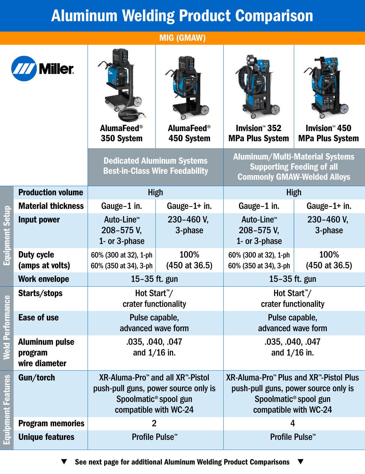## Aluminum Welding Product Comparison

MIG (GMAW)

an a

**OH.** 

 $\sqrt{\frac{1}{n}}$ 



Equipment Setup

**Equipment Setup** 

Weld Performance

**Weld Performance** 

Equipment Features

**Equipment Features** 

| <b>Miller</b>                                     |                                                                                                                                                    |                                 |                                                                                                                                                          |                                                           |
|---------------------------------------------------|----------------------------------------------------------------------------------------------------------------------------------------------------|---------------------------------|----------------------------------------------------------------------------------------------------------------------------------------------------------|-----------------------------------------------------------|
|                                                   | <b>AlumaFeed®</b><br>350 System                                                                                                                    | <b>AlumaFeed®</b><br>450 System | <b>Invision<sup>™</sup> 352</b><br><b>MPa Plus System</b>                                                                                                | <b>Invision<sup>™</sup> 450</b><br><b>MPa Plus System</b> |
|                                                   | <b>Dedicated Aluminum Systems</b><br><b>Best-in-Class Wire Feedability</b>                                                                         |                                 | <b>Aluminum/Multi-Material Systems</b><br><b>Supporting Feeding of all</b><br><b>Commonly GMAW-Welded Alloys</b>                                         |                                                           |
| <b>Production volume</b>                          | <b>High</b>                                                                                                                                        |                                 | <b>High</b>                                                                                                                                              |                                                           |
| <b>Material thickness</b>                         | Gauge-1 in.                                                                                                                                        | Gauge- $1+$ in.                 | Gauge-1 in.                                                                                                                                              | Gauge-1+ in.                                              |
| <b>Input power</b>                                | Auto-Line <sup>™</sup><br>208-575 V,<br>1- or 3-phase                                                                                              | 230-460 V,<br>3-phase           | Auto-Line <sup>™</sup><br>208-575 V,<br>1- or 3-phase                                                                                                    | 230-460 V,<br>3-phase                                     |
| <b>Duty cycle</b><br>(amps at volts)              | 60% (300 at 32), 1-ph<br>60% (350 at 34), 3-ph                                                                                                     | 100%<br>$(450$ at 36.5)         | 60% (300 at 32), 1-ph<br>60% (350 at 34), 3-ph                                                                                                           | 100%<br>$(450$ at 36.5)                                   |
| <b>Work envelope</b>                              | 15-35 ft. gun                                                                                                                                      |                                 | 15-35 ft. gun                                                                                                                                            |                                                           |
| Starts/stops                                      | Hot Start <sup>™</sup> /<br>crater functionality                                                                                                   |                                 | Hot Start <sup>™</sup> /<br>crater functionality                                                                                                         |                                                           |
| <b>Ease of use</b>                                | Pulse capable,<br>advanced wave form                                                                                                               |                                 | Pulse capable,<br>advanced wave form                                                                                                                     |                                                           |
| <b>Aluminum pulse</b><br>program<br>wire diameter | .035, .040, .047<br>and $1/16$ in.                                                                                                                 |                                 | .035, .040, .047<br>and $1/16$ in.                                                                                                                       |                                                           |
| Gun/torch                                         | XR-Aluma-Pro <sup>™</sup> and all XR™-Pistol<br>push-pull guns, power source only is<br>Spoolmatic <sup>®</sup> spool gun<br>compatible with WC-24 |                                 | XR-Aluma-Pro <sup>™</sup> Plus and XR™-Pistol Plus<br>push-pull guns, power source only is<br>Spoolmatic <sup>®</sup> spool gun<br>compatible with WC-24 |                                                           |
| <b>Program memories</b>                           | $\overline{2}$                                                                                                                                     |                                 | 4                                                                                                                                                        |                                                           |
| <b>Unique features</b>                            | Profile Pulse <sup>™</sup>                                                                                                                         |                                 | Profile Pulse <sup>™</sup>                                                                                                                               |                                                           |

 $\blacktriangledown$ 

See next page for additional Aluminum Welding Product Comparisons $\blacktriangledown$